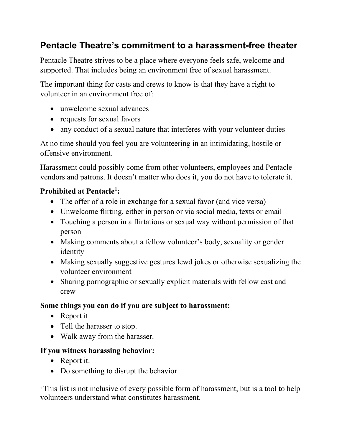# **Pentacle Theatre's commitment to a harassment-free theater**

Pentacle Theatre strives to be a place where everyone feels safe, welcome and supported. That includes being an environment free of sexual harassment.

The important thing for casts and crews to know is that they have a right to volunteer in an environment free of:

- unwelcome sexual advances
- requests for sexual favors
- any conduct of a sexual nature that interferes with your volunteer duties

At no time should you feel you are volunteering in an intimidating, hostile or offensive environment.

Harassment could possibly come from other volunteers, employees and Pentacle vendors and patrons. It doesn't matter who does it, you do not have to tolerate it.

## **Prohibited at Pentacl[e1](#page-0-0) :**

- The offer of a role in exchange for a sexual favor (and vice versa)
- Unwelcome flirting, either in person or via social media, texts or email
- Touching a person in a flirtatious or sexual way without permission of that person
- Making comments about a fellow volunteer's body, sexuality or gender identity
- Making sexually suggestive gestures lewd jokes or otherwise sexualizing the volunteer environment
- Sharing pornographic or sexually explicit materials with fellow cast and crew

## **Some things you can do if you are subject to harassment:**

- Report it.
- Tell the harasser to stop.
- Walk away from the harasser.

## **If you witness harassing behavior:**

- Report it.
- Do something to disrupt the behavior.

<span id="page-0-0"></span><sup>&</sup>lt;sup>1</sup>This list is not inclusive of every possible form of harassment, but is a tool to help volunteers understand what constitutes harassment.